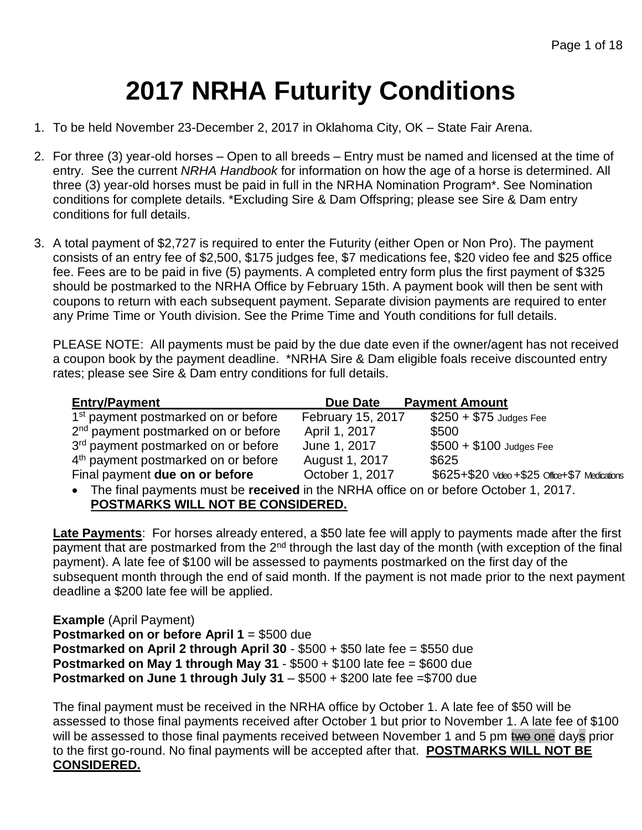# **2017 NRHA Futurity Conditions**

- 1. To be held November 23-December 2, 2017 in Oklahoma City, OK State Fair Arena.
- 2. For three (3) year-old horses Open to all breeds Entry must be named and licensed at the time of entry. See the current *NRHA Handbook* for information on how the age of a horse is determined. All three (3) year-old horses must be paid in full in the NRHA Nomination Program\*. See Nomination conditions for complete details. \*Excluding Sire & Dam Offspring; please see Sire & Dam entry conditions for full details.
- 3. A total payment of \$2,727 is required to enter the Futurity (either Open or Non Pro). The payment consists of an entry fee of \$2,500, \$175 judges fee, \$7 medications fee, \$20 video fee and \$25 office fee. Fees are to be paid in five (5) payments. A completed entry form plus the first payment of \$325 should be postmarked to the NRHA Office by February 15th. A payment book will then be sent with coupons to return with each subsequent payment. Separate division payments are required to enter any Prime Time or Youth division. See the Prime Time and Youth conditions for full details.

PLEASE NOTE: All payments must be paid by the due date even if the owner/agent has not received a coupon book by the payment deadline. \*NRHA Sire & Dam eligible foals receive discounted entry rates; please see Sire & Dam entry conditions for full details.

| <b>Entry/Payment</b>                                                                          | Due Date          | <b>Payment Amount</b>                         |
|-----------------------------------------------------------------------------------------------|-------------------|-----------------------------------------------|
| 1 <sup>st</sup> payment postmarked on or before                                               | February 15, 2017 | $$250 + $75$ Judges Fee                       |
| 2 <sup>nd</sup> payment postmarked on or before                                               | April 1, 2017     | \$500                                         |
| 3 <sup>rd</sup> payment postmarked on or before                                               | June 1, 2017      | $$500 + $100$ Judges Fee                      |
| 4 <sup>th</sup> payment postmarked on or before                                               | August 1, 2017    | \$625                                         |
| Final payment due on or before                                                                | October 1, 2017   | \$625+\$20 Video +\$25 Office+\$7 Medications |
| $\bullet$ The final payments must be resolved in the NDHA office an or before October 1, 2017 |                   |                                               |

• The final payments must be **received** in the NRHA office on or before October 1, 2017. **POSTMARKS WILL NOT BE CONSIDERED.**

**Late Payments**: For horses already entered, a \$50 late fee will apply to payments made after the first payment that are postmarked from the 2<sup>nd</sup> through the last day of the month (with exception of the final payment). A late fee of \$100 will be assessed to payments postmarked on the first day of the subsequent month through the end of said month. If the payment is not made prior to the next payment deadline a \$200 late fee will be applied.

**Example** (April Payment) **Postmarked on or before April 1** = \$500 due **Postmarked on April 2 through April 30** - \$500 + \$50 late fee = \$550 due **Postmarked on May 1 through May 31** - \$500 + \$100 late fee = \$600 due **Postmarked on June 1 through July 31 – \$500 + \$200 late fee = \$700 due** 

The final payment must be received in the NRHA office by October 1. A late fee of \$50 will be assessed to those final payments received after October 1 but prior to November 1. A late fee of \$100 will be assessed to those final payments received between November 1 and 5 pm two one days prior to the first go-round. No final payments will be accepted after that. **POSTMARKS WILL NOT BE CONSIDERED.**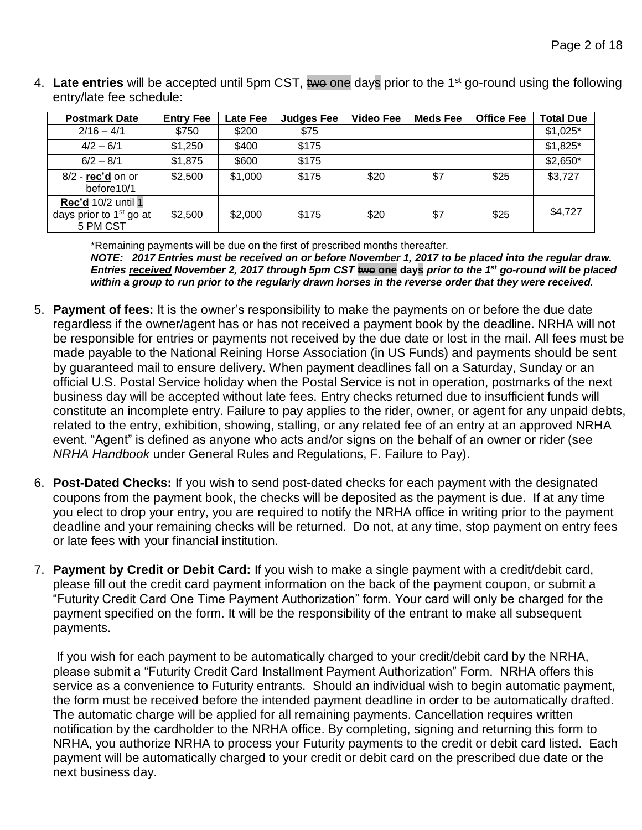4. Late entries will be accepted until 5pm CST, two one days prior to the 1<sup>st</sup> go-round using the following entry/late fee schedule:

| <b>Postmark Date</b>                                               | <b>Entry Fee</b> | <b>Late Fee</b> | <b>Judges Fee</b> | <b>Video Fee</b> | <b>Meds Fee</b> | <b>Office Fee</b> | <b>Total Due</b> |
|--------------------------------------------------------------------|------------------|-----------------|-------------------|------------------|-----------------|-------------------|------------------|
| $2/16 - 4/1$                                                       | \$750            | \$200           | \$75              |                  |                 |                   | $$1,025$ *       |
| $4/2 - 6/1$                                                        | \$1,250          | \$400           | \$175             |                  |                 |                   | $$1,825$ *       |
| $6/2 - 8/1$                                                        | \$1,875          | \$600           | \$175             |                  |                 |                   | $$2,650*$        |
| $8/2$ - rec'd on or<br>before10/1                                  | \$2,500          | \$1,000         | \$175             | \$20             | \$7             | \$25              | \$3,727          |
| <b>Rec'd 10/2 until 1</b><br>days prior to $1st$ go at<br>5 PM CST | \$2,500          | \$2,000         | \$175             | \$20             | \$7             | \$25              | \$4,727          |

\*Remaining payments will be due on the first of prescribed months thereafter.

*NOTE: 2017 Entries must be received on or before November 1, 2017 to be placed into the regular draw. Entries received November 2, 2017 through 5pm CST* **two one days** *prior to the 1st go-round will be placed within a group to run prior to the regularly drawn horses in the reverse order that they were received.*

- 5. **Payment of fees:** It is the owner's responsibility to make the payments on or before the due date regardless if the owner/agent has or has not received a payment book by the deadline. NRHA will not be responsible for entries or payments not received by the due date or lost in the mail. All fees must be made payable to the National Reining Horse Association (in US Funds) and payments should be sent by guaranteed mail to ensure delivery. When payment deadlines fall on a Saturday, Sunday or an official U.S. Postal Service holiday when the Postal Service is not in operation, postmarks of the next business day will be accepted without late fees. Entry checks returned due to insufficient funds will constitute an incomplete entry. Failure to pay applies to the rider, owner, or agent for any unpaid debts, related to the entry, exhibition, showing, stalling, or any related fee of an entry at an approved NRHA event. "Agent" is defined as anyone who acts and/or signs on the behalf of an owner or rider (see *NRHA Handbook* under General Rules and Regulations, F. Failure to Pay).
- 6. **Post-Dated Checks:** If you wish to send post-dated checks for each payment with the designated coupons from the payment book, the checks will be deposited as the payment is due. If at any time you elect to drop your entry, you are required to notify the NRHA office in writing prior to the payment deadline and your remaining checks will be returned. Do not, at any time, stop payment on entry fees or late fees with your financial institution.
- 7. **Payment by Credit or Debit Card:** If you wish to make a single payment with a credit/debit card, please fill out the credit card payment information on the back of the payment coupon, or submit a "Futurity Credit Card One Time Payment Authorization" form. Your card will only be charged for the payment specified on the form. It will be the responsibility of the entrant to make all subsequent payments.

If you wish for each payment to be automatically charged to your credit/debit card by the NRHA, please submit a "Futurity Credit Card Installment Payment Authorization" Form. NRHA offers this service as a convenience to Futurity entrants. Should an individual wish to begin automatic payment, the form must be received before the intended payment deadline in order to be automatically drafted. The automatic charge will be applied for all remaining payments. Cancellation requires written notification by the cardholder to the NRHA office. By completing, signing and returning this form to NRHA, you authorize NRHA to process your Futurity payments to the credit or debit card listed. Each payment will be automatically charged to your credit or debit card on the prescribed due date or the next business day.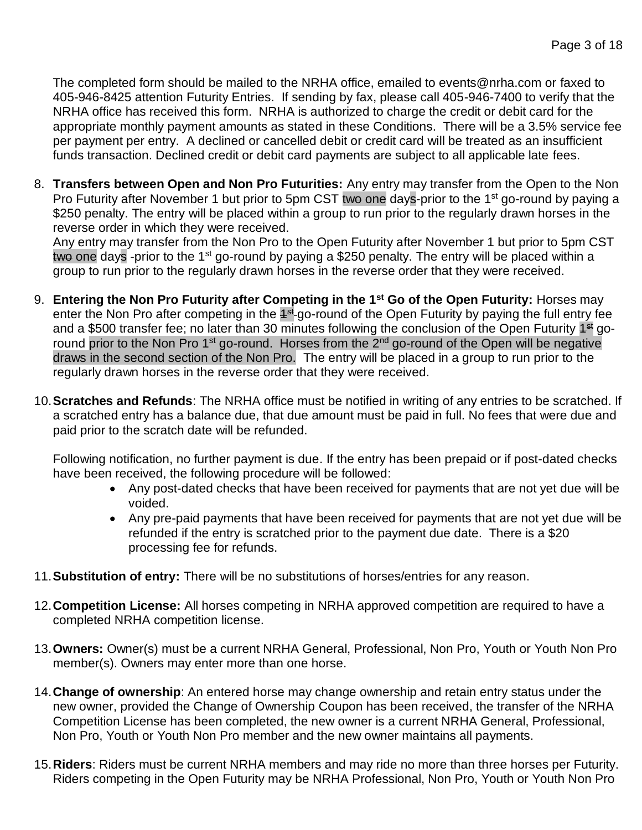The completed form should be mailed to the NRHA office, emailed to events@nrha.com or faxed to 405-946-8425 attention Futurity Entries. If sending by fax, please call 405-946-7400 to verify that the NRHA office has received this form. NRHA is authorized to charge the credit or debit card for the appropriate monthly payment amounts as stated in these Conditions. There will be a 3.5% service fee per payment per entry. A declined or cancelled debit or credit card will be treated as an insufficient funds transaction. Declined credit or debit card payments are subject to all applicable late fees.

8. **Transfers between Open and Non Pro Futurities:** Any entry may transfer from the Open to the Non Pro Futurity after November 1 but prior to 5pm CST two one days-prior to the 1<sup>st</sup> go-round by paying a \$250 penalty. The entry will be placed within a group to run prior to the regularly drawn horses in the reverse order in which they were received.

Any entry may transfer from the Non Pro to the Open Futurity after November 1 but prior to 5pm CST two one days -prior to the 1<sup>st</sup> go-round by paying a \$250 penalty. The entry will be placed within a group to run prior to the regularly drawn horses in the reverse order that they were received.

- 9. **Entering the Non Pro Futurity after Competing in the 1st Go of the Open Futurity:** Horses may enter the Non Pro after competing in the <sup>4st</sup>-go-round of the Open Futurity by paying the full entry fee and a \$500 transfer fee; no later than 30 minutes following the conclusion of the Open Futurity <sup>4st</sup> goround prior to the Non Pro 1<sup>st</sup> go-round. Horses from the 2<sup>nd</sup> go-round of the Open will be negative draws in the second section of the Non Pro. The entry will be placed in a group to run prior to the regularly drawn horses in the reverse order that they were received.
- 10.**Scratches and Refunds**: The NRHA office must be notified in writing of any entries to be scratched. If a scratched entry has a balance due, that due amount must be paid in full. No fees that were due and paid prior to the scratch date will be refunded.

Following notification, no further payment is due. If the entry has been prepaid or if post-dated checks have been received, the following procedure will be followed:

- Any post-dated checks that have been received for payments that are not yet due will be voided.
- Any pre-paid payments that have been received for payments that are not yet due will be refunded if the entry is scratched prior to the payment due date. There is a \$20 processing fee for refunds.
- 11.**Substitution of entry:** There will be no substitutions of horses/entries for any reason.
- 12.**Competition License:** All horses competing in NRHA approved competition are required to have a completed NRHA competition license.
- 13.**Owners:** Owner(s) must be a current NRHA General, Professional, Non Pro, Youth or Youth Non Pro member(s). Owners may enter more than one horse.
- 14.**Change of ownership**: An entered horse may change ownership and retain entry status under the new owner, provided the Change of Ownership Coupon has been received, the transfer of the NRHA Competition License has been completed, the new owner is a current NRHA General, Professional, Non Pro, Youth or Youth Non Pro member and the new owner maintains all payments.
- 15.**Riders**: Riders must be current NRHA members and may ride no more than three horses per Futurity. Riders competing in the Open Futurity may be NRHA Professional, Non Pro, Youth or Youth Non Pro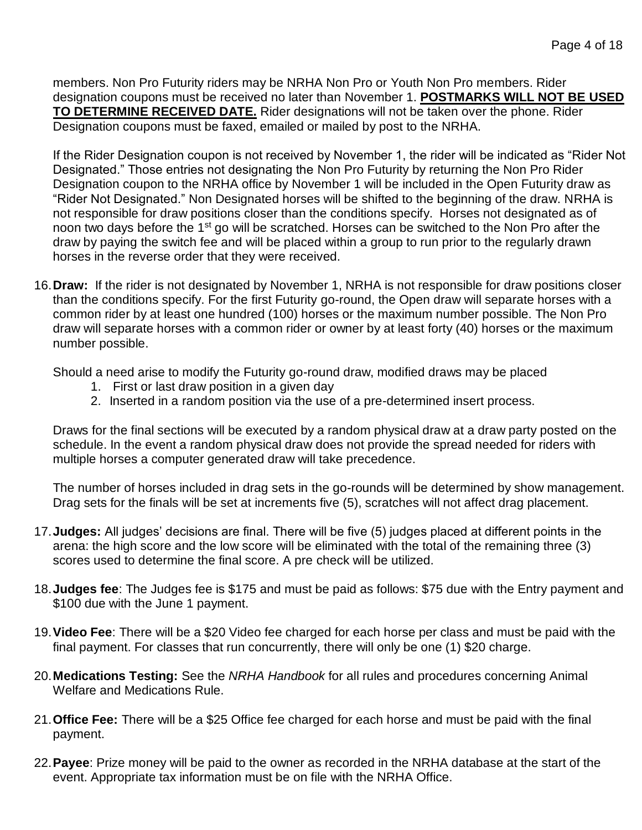members. Non Pro Futurity riders may be NRHA Non Pro or Youth Non Pro members. Rider designation coupons must be received no later than November 1. **POSTMARKS WILL NOT BE USED TO DETERMINE RECEIVED DATE.** Rider designations will not be taken over the phone. Rider Designation coupons must be faxed, emailed or mailed by post to the NRHA.

If the Rider Designation coupon is not received by November 1, the rider will be indicated as "Rider Not Designated." Those entries not designating the Non Pro Futurity by returning the Non Pro Rider Designation coupon to the NRHA office by November 1 will be included in the Open Futurity draw as "Rider Not Designated." Non Designated horses will be shifted to the beginning of the draw. NRHA is not responsible for draw positions closer than the conditions specify. Horses not designated as of noon two days before the 1st go will be scratched. Horses can be switched to the Non Pro after the draw by paying the switch fee and will be placed within a group to run prior to the regularly drawn horses in the reverse order that they were received.

16.**Draw:** If the rider is not designated by November 1, NRHA is not responsible for draw positions closer than the conditions specify. For the first Futurity go-round, the Open draw will separate horses with a common rider by at least one hundred (100) horses or the maximum number possible. The Non Pro draw will separate horses with a common rider or owner by at least forty (40) horses or the maximum number possible.

Should a need arise to modify the Futurity go-round draw, modified draws may be placed

- 1. First or last draw position in a given day
- 2. Inserted in a random position via the use of a pre-determined insert process.

Draws for the final sections will be executed by a random physical draw at a draw party posted on the schedule. In the event a random physical draw does not provide the spread needed for riders with multiple horses a computer generated draw will take precedence.

The number of horses included in drag sets in the go-rounds will be determined by show management. Drag sets for the finals will be set at increments five (5), scratches will not affect drag placement.

- 17.**Judges:** All judges' decisions are final. There will be five (5) judges placed at different points in the arena: the high score and the low score will be eliminated with the total of the remaining three (3) scores used to determine the final score. A pre check will be utilized.
- 18.**Judges fee**: The Judges fee is \$175 and must be paid as follows: \$75 due with the Entry payment and \$100 due with the June 1 payment.
- 19.**Video Fee**: There will be a \$20 Video fee charged for each horse per class and must be paid with the final payment. For classes that run concurrently, there will only be one (1) \$20 charge.
- 20.**Medications Testing:** See the *NRHA Handbook* for all rules and procedures concerning Animal Welfare and Medications Rule.
- 21.**Office Fee:** There will be a \$25 Office fee charged for each horse and must be paid with the final payment.
- 22.**Payee**: Prize money will be paid to the owner as recorded in the NRHA database at the start of the event. Appropriate tax information must be on file with the NRHA Office.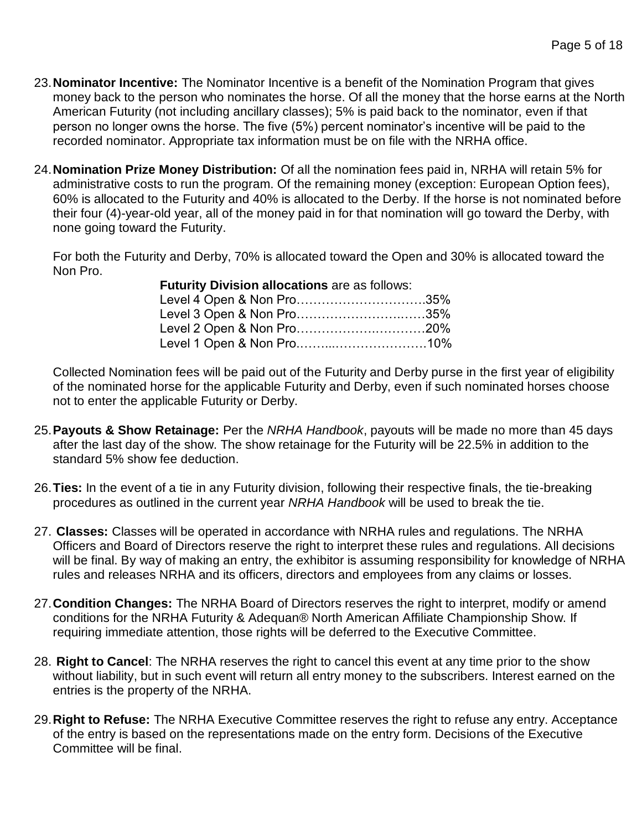- 23.**Nominator Incentive:** The Nominator Incentive is a benefit of the Nomination Program that gives money back to the person who nominates the horse. Of all the money that the horse earns at the North American Futurity (not including ancillary classes); 5% is paid back to the nominator, even if that person no longer owns the horse. The five (5%) percent nominator's incentive will be paid to the recorded nominator. Appropriate tax information must be on file with the NRHA office.
- 24.**Nomination Prize Money Distribution:** Of all the nomination fees paid in, NRHA will retain 5% for administrative costs to run the program. Of the remaining money (exception: European Option fees), 60% is allocated to the Futurity and 40% is allocated to the Derby. If the horse is not nominated before their four (4)-year-old year, all of the money paid in for that nomination will go toward the Derby, with none going toward the Futurity.

For both the Futurity and Derby, 70% is allocated toward the Open and 30% is allocated toward the Non Pro.

| Futurity Division allocations are as follows: |  |
|-----------------------------------------------|--|
| Level 4 Open & Non Pro35%                     |  |
| Level 3 Open & Non Pro35%                     |  |
|                                               |  |
|                                               |  |

Collected Nomination fees will be paid out of the Futurity and Derby purse in the first year of eligibility of the nominated horse for the applicable Futurity and Derby, even if such nominated horses choose not to enter the applicable Futurity or Derby.

- 25.**Payouts & Show Retainage:** Per the *NRHA Handbook*, payouts will be made no more than 45 days after the last day of the show. The show retainage for the Futurity will be 22.5% in addition to the standard 5% show fee deduction.
- 26.**Ties:** In the event of a tie in any Futurity division, following their respective finals, the tie-breaking procedures as outlined in the current year *NRHA Handbook* will be used to break the tie.
- 27. **Classes:** Classes will be operated in accordance with NRHA rules and regulations. The NRHA Officers and Board of Directors reserve the right to interpret these rules and regulations. All decisions will be final. By way of making an entry, the exhibitor is assuming responsibility for knowledge of NRHA rules and releases NRHA and its officers, directors and employees from any claims or losses.
- 27.**Condition Changes:** The NRHA Board of Directors reserves the right to interpret, modify or amend conditions for the NRHA Futurity & Adequan® North American Affiliate Championship Show. If requiring immediate attention, those rights will be deferred to the Executive Committee.
- 28. **Right to Cancel**: The NRHA reserves the right to cancel this event at any time prior to the show without liability, but in such event will return all entry money to the subscribers. Interest earned on the entries is the property of the NRHA.
- 29.**Right to Refuse:** The NRHA Executive Committee reserves the right to refuse any entry. Acceptance of the entry is based on the representations made on the entry form. Decisions of the Executive Committee will be final.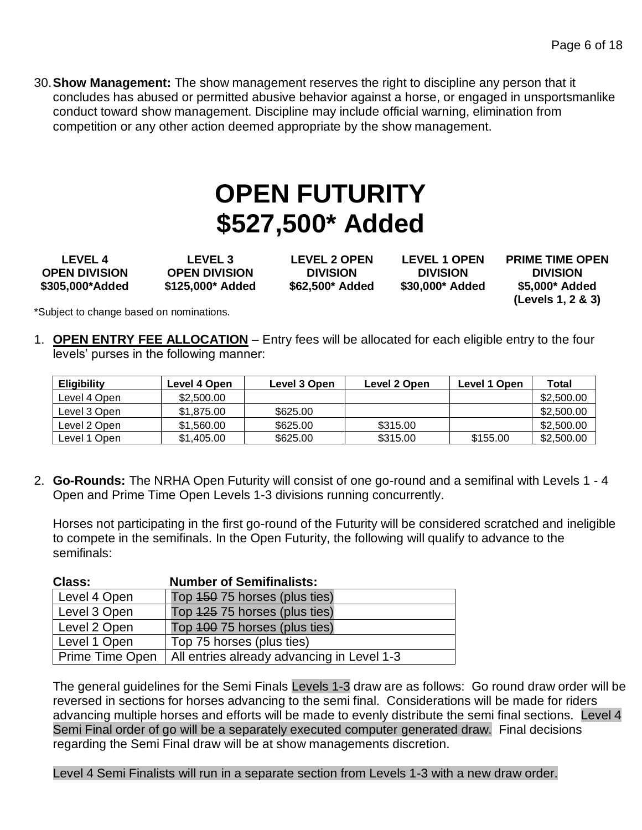30.**Show Management:** The show management reserves the right to discipline any person that it concludes has abused or permitted abusive behavior against a horse, or engaged in unsportsmanlike conduct toward show management. Discipline may include official warning, elimination from competition or any other action deemed appropriate by the show management.

# **OPEN FUTURITY \$527,500\* Added**

**LEVEL 4 OPEN DIVISION \$305,000\*Added**

**LEVEL 3 OPEN DIVISION \$125,000\* Added**

**LEVEL 2 OPEN DIVISION \$62,500\* Added**

**LEVEL 1 OPEN DIVISION \$30,000\* Added** **PRIME TIME OPEN DIVISION \$5,000\* Added (Levels 1, 2 & 3)**

\*Subject to change based on nominations.

1. **OPEN ENTRY FEE ALLOCATION** – Entry fees will be allocated for each eligible entry to the four levels' purses in the following manner:

| <b>Eligibility</b> | Level 4 Open | Level 3 Open | Level 2 Open | Level 1 Open | Total      |
|--------------------|--------------|--------------|--------------|--------------|------------|
| Level 4 Open       | \$2,500.00   |              |              |              | \$2,500.00 |
| Level 3 Open       | \$1,875.00   | \$625.00     |              |              | \$2,500.00 |
| Level 2 Open       | \$1.560.00   | \$625.00     | \$315.00     |              | \$2,500.00 |
| Level 1 Open       | \$1,405,00   | \$625.00     | \$315.00     | \$155.00     | \$2,500.00 |

2. **Go-Rounds:** The NRHA Open Futurity will consist of one go-round and a semifinal with Levels 1 - 4 Open and Prime Time Open Levels 1-3 divisions running concurrently.

Horses not participating in the first go-round of the Futurity will be considered scratched and ineligible to compete in the semifinals. In the Open Futurity, the following will qualify to advance to the semifinals:

| <b>Class:</b>   | <b>Number of Semifinalists:</b>            |
|-----------------|--------------------------------------------|
| Level 4 Open    | Top 450 75 horses (plus ties)              |
| Level 3 Open    | Top 425 75 horses (plus ties)              |
| Level 2 Open    | Top 400 75 horses (plus ties)              |
| Level 1 Open    | Top 75 horses (plus ties)                  |
| Prime Time Open | All entries already advancing in Level 1-3 |

The general guidelines for the Semi Finals Levels 1-3 draw are as follows: Go round draw order will be reversed in sections for horses advancing to the semi final. Considerations will be made for riders advancing multiple horses and efforts will be made to evenly distribute the semi final sections. Level 4 Semi Final order of go will be a separately executed computer generated draw. Final decisions regarding the Semi Final draw will be at show managements discretion.

Level 4 Semi Finalists will run in a separate section from Levels 1-3 with a new draw order.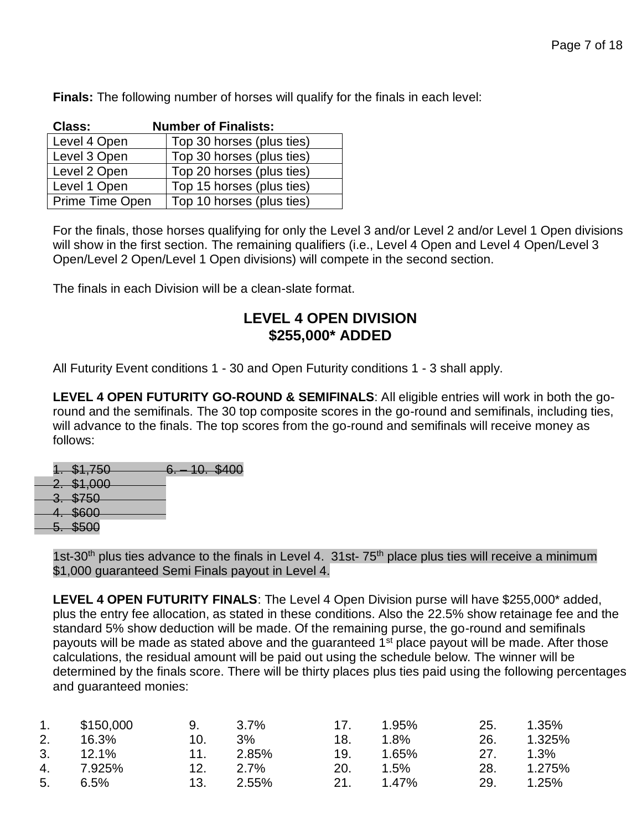**Finals:** The following number of horses will qualify for the finals in each level:

| <b>Class:</b>   | <b>Number of Finalists:</b> |
|-----------------|-----------------------------|
| Level 4 Open    | Top 30 horses (plus ties)   |
| Level 3 Open    | Top 30 horses (plus ties)   |
| Level 2 Open    | Top 20 horses (plus ties)   |
| Level 1 Open    | Top 15 horses (plus ties)   |
| Prime Time Open | Top 10 horses (plus ties)   |

For the finals, those horses qualifying for only the Level 3 and/or Level 2 and/or Level 1 Open divisions will show in the first section. The remaining qualifiers (i.e., Level 4 Open and Level 4 Open/Level 3 Open/Level 2 Open/Level 1 Open divisions) will compete in the second section.

The finals in each Division will be a clean-slate format.

#### **LEVEL 4 OPEN DIVISION \$255,000\* ADDED**

All Futurity Event conditions 1 - 30 and Open Futurity conditions 1 - 3 shall apply.

**LEVEL 4 OPEN FUTURITY GO-ROUND & SEMIFINALS**: All eligible entries will work in both the goround and the semifinals. The 30 top composite scores in the go-round and semifinals, including ties, will advance to the finals. The top scores from the go-round and semifinals will receive money as follows:

1. \$1,750 6. – 10. \$400

- 2. \$1,000 3. \$750
- 4. \$600
	- 5. \$500

1st-30<sup>th</sup> plus ties advance to the finals in Level 4. 31st-  $75<sup>th</sup>$  place plus ties will receive a minimum \$1,000 guaranteed Semi Finals payout in Level 4.

**LEVEL 4 OPEN FUTURITY FINALS**: The Level 4 Open Division purse will have \$255,000\* added, plus the entry fee allocation, as stated in these conditions. Also the 22.5% show retainage fee and the standard 5% show deduction will be made. Of the remaining purse, the go-round and semifinals payouts will be made as stated above and the guaranteed 1<sup>st</sup> place payout will be made. After those calculations, the residual amount will be paid out using the schedule below. The winner will be determined by the finals score. There will be thirty places plus ties paid using the following percentages and guaranteed monies:

| 1.             | \$150,000 | 9.  | - 3.7% | 17. | 1.95%   | 25. | 1.35%   |
|----------------|-----------|-----|--------|-----|---------|-----|---------|
| 2.             | 16.3%     | 10. | $3\%$  | 18. | $1.8\%$ | 26. | 1.325%  |
| 3.             | 12.1%     | 11. | 2.85%  | 19. | 1.65%   | 27. | $1.3\%$ |
|                | 4. 7.925% | 12. | 2.7%   | 20. | 1.5%    | 28. | 1.275%  |
| 5 <sub>1</sub> | 6.5%      | 13. | 2.55%  | 21. | 1.47%   | 29. | 1.25%   |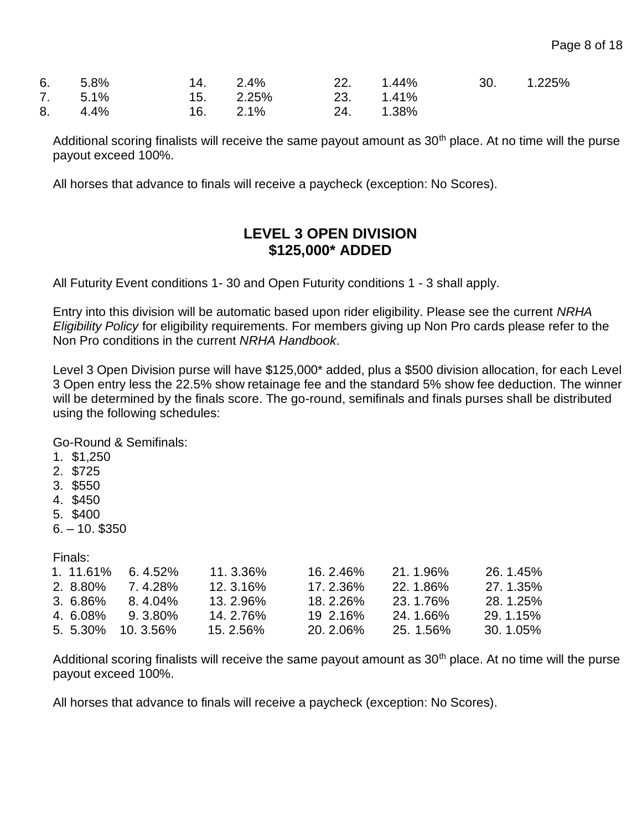| 6. 5.8% 14. 2.4% 22. 1.44% 30. 1.225% |                          |  |  |
|---------------------------------------|--------------------------|--|--|
| 7. 5.1% 15. 2.25% 23. 1.41%           |                          |  |  |
| 8. 4.4%                               | $16.$ 2.1% 2.4. $1.38\%$ |  |  |

Additional scoring finalists will receive the same payout amount as  $30<sup>th</sup>$  place. At no time will the purse payout exceed 100%.

All horses that advance to finals will receive a paycheck (exception: No Scores).

#### **LEVEL 3 OPEN DIVISION \$125,000\* ADDED**

All Futurity Event conditions 1- 30 and Open Futurity conditions 1 - 3 shall apply.

Entry into this division will be automatic based upon rider eligibility. Please see the current *NRHA Eligibility Policy* for eligibility requirements. For members giving up Non Pro cards please refer to the Non Pro conditions in the current *NRHA Handbook*.

Level 3 Open Division purse will have \$125,000\* added, plus a \$500 division allocation, for each Level 3 Open entry less the 22.5% show retainage fee and the standard 5% show fee deduction. The winner will be determined by the finals score. The go-round, semifinals and finals purses shall be distributed using the following schedules:

Go-Round & Semifinals:

- 1. \$1,250
- 2. \$725
- 3. \$550
- 4. \$450
- 5. \$400
- 6. 10. \$350

Finals:

| 6.4.52%             | 11.3.36%    | <u> 16. 2.46%</u> | 21.1.96%  | 26.1.45%    |
|---------------------|-------------|-------------------|-----------|-------------|
| 7.4.28%             | $12.3.16\%$ | 17.2.36%          | 22.1.86%  | 27.1.35%    |
| 8.4.04%             | 13.2.96%    | <u>18.2.26%</u>   | 23.1.76%  | 28.1.25%    |
| 9.3.80%             | 14. 2.76%   | 19 2.16%          | 24.1.66%  | 29.1.15%    |
| $5.5.30\%$ 10.3.56% | $15.2.56\%$ | 20.2.06%          | 25. 1.56% | $30.1.05\%$ |
|                     |             |                   |           |             |

Additional scoring finalists will receive the same payout amount as 30<sup>th</sup> place. At no time will the purse payout exceed 100%.

All horses that advance to finals will receive a paycheck (exception: No Scores).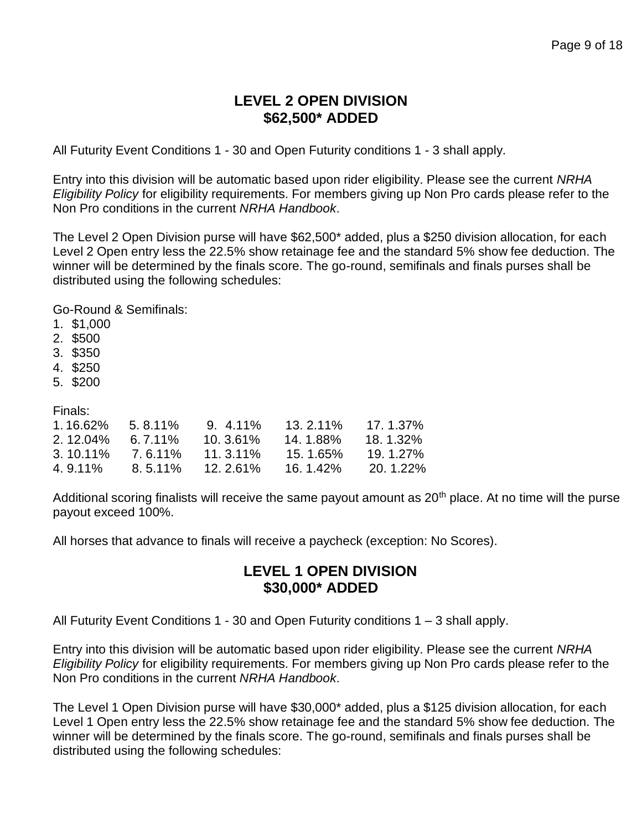#### **LEVEL 2 OPEN DIVISION \$62,500\* ADDED**

All Futurity Event Conditions 1 - 30 and Open Futurity conditions 1 - 3 shall apply.

Entry into this division will be automatic based upon rider eligibility. Please see the current *NRHA Eligibility Policy* for eligibility requirements. For members giving up Non Pro cards please refer to the Non Pro conditions in the current *NRHA Handbook*.

The Level 2 Open Division purse will have \$62,500\* added, plus a \$250 division allocation, for each Level 2 Open entry less the 22.5% show retainage fee and the standard 5% show fee deduction. The winner will be determined by the finals score. The go-round, semifinals and finals purses shall be distributed using the following schedules:

Go-Round & Semifinals:

- 1. \$1,000
- 2. \$500
- 3. \$350
- 4. \$250
- 5. \$200

Finals:

| 1.16.62%    | $5.8.11\%$ | $9.411\%$  | 13.2.11% | $17.1.37\%$ |
|-------------|------------|------------|----------|-------------|
| $2.12.04\%$ | $6.7.11\%$ | $10.361\%$ | 14.1.88% | 18.1.32%    |
| $3.10.11\%$ | 7.6.11%    | 11.3.11%   | 15.1.65% | $19.1.27\%$ |
| 4.9.11%     | 8.5.11%    | $12.261\%$ | 16.1.42% | $20.1.22\%$ |

Additional scoring finalists will receive the same payout amount as 20<sup>th</sup> place. At no time will the purse payout exceed 100%.

All horses that advance to finals will receive a paycheck (exception: No Scores).

#### **LEVEL 1 OPEN DIVISION \$30,000\* ADDED**

All Futurity Event Conditions 1 - 30 and Open Futurity conditions 1 – 3 shall apply.

Entry into this division will be automatic based upon rider eligibility. Please see the current *NRHA Eligibility Policy* for eligibility requirements. For members giving up Non Pro cards please refer to the Non Pro conditions in the current *NRHA Handbook*.

The Level 1 Open Division purse will have \$30,000\* added, plus a \$125 division allocation, for each Level 1 Open entry less the 22.5% show retainage fee and the standard 5% show fee deduction. The winner will be determined by the finals score. The go-round, semifinals and finals purses shall be distributed using the following schedules: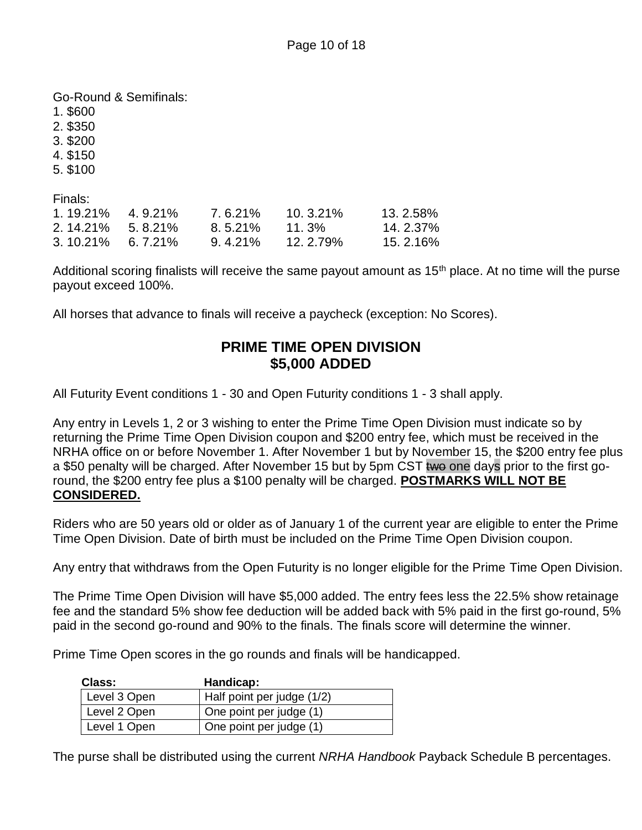Go-Round & Semifinals:

1. \$600

2. \$350

3. \$200

- 4. \$150
- 5. \$100

Finals:

| $1.19.21\%$ | 4.9.21%    | $7.6.21\%$ | $10.3.21\%$ | $13.2.58\%$ |
|-------------|------------|------------|-------------|-------------|
| $2.14.21\%$ | 5.8.21%    | 8.5.21%    | $11.3\%$    | 14.2.37%    |
| $3.10.21\%$ | $6.7.21\%$ | 9.4.21%    | 12.2.79%    | 15.2.16%    |

Additional scoring finalists will receive the same payout amount as  $15<sup>th</sup>$  place. At no time will the purse payout exceed 100%.

All horses that advance to finals will receive a paycheck (exception: No Scores).

#### **PRIME TIME OPEN DIVISION \$5,000 ADDED**

All Futurity Event conditions 1 - 30 and Open Futurity conditions 1 - 3 shall apply.

Any entry in Levels 1, 2 or 3 wishing to enter the Prime Time Open Division must indicate so by returning the Prime Time Open Division coupon and \$200 entry fee, which must be received in the NRHA office on or before November 1. After November 1 but by November 15, the \$200 entry fee plus a \$50 penalty will be charged. After November 15 but by 5pm CST two one days prior to the first goround, the \$200 entry fee plus a \$100 penalty will be charged. **POSTMARKS WILL NOT BE CONSIDERED.**

Riders who are 50 years old or older as of January 1 of the current year are eligible to enter the Prime Time Open Division. Date of birth must be included on the Prime Time Open Division coupon.

Any entry that withdraws from the Open Futurity is no longer eligible for the Prime Time Open Division.

The Prime Time Open Division will have \$5,000 added. The entry fees less the 22.5% show retainage fee and the standard 5% show fee deduction will be added back with 5% paid in the first go-round, 5% paid in the second go-round and 90% to the finals. The finals score will determine the winner.

Prime Time Open scores in the go rounds and finals will be handicapped.

| Class:       | Handicap:                  |
|--------------|----------------------------|
| Level 3 Open | Half point per judge (1/2) |
| Level 2 Open | One point per judge (1)    |
| Level 1 Open | One point per judge (1)    |

The purse shall be distributed using the current *NRHA Handbook* Payback Schedule B percentages.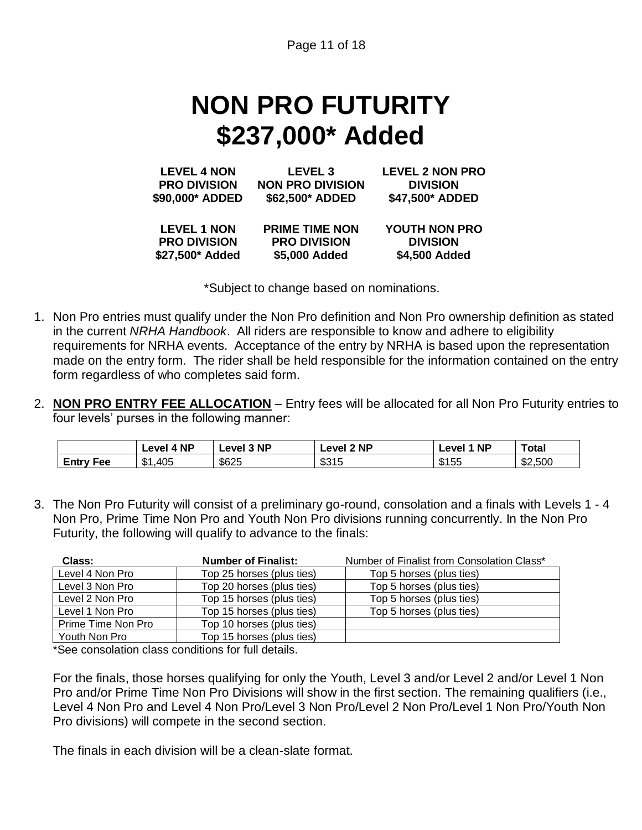Page 11 of 18

# **NON PRO FUTURITY \$237,000\* Added**

| <b>LEVEL 4 NON</b>  | LEVEL <sub>3</sub>      | <b>LEVEL 2 NON PRO</b> |
|---------------------|-------------------------|------------------------|
| <b>PRO DIVISION</b> | <b>NON PRO DIVISION</b> | <b>DIVISION</b>        |
| \$90,000* ADDED     | \$62,500* ADDED         | \$47,500* ADDED        |
| <b>LEVEL 1 NON</b>  | <b>PRIME TIME NON</b>   | <b>YOUTH NON PRO</b>   |
| <b>PRO DIVISION</b> | <b>PRO DIVISION</b>     | <b>DIVISION</b>        |
| \$27,500* Added     | \$5,000 Added           | \$4,500 Added          |

\*Subject to change based on nominations.

- 1. Non Pro entries must qualify under the Non Pro definition and Non Pro ownership definition as stated in the current *NRHA Handbook*. All riders are responsible to know and adhere to eligibility requirements for NRHA events. Acceptance of the entry by NRHA is based upon the representation made on the entry form. The rider shall be held responsible for the information contained on the entry form regardless of who completes said form.
- 2. **NON PRO ENTRY FEE ALLOCATION** Entry fees will be allocated for all Non Pro Futurity entries to four levels' purses in the following manner:

|                     | <b>NP</b><br><b>Level</b> | <b>NP</b><br>∟evel ∶ | <b>NP</b><br>-eve' | <b>NP</b><br>AVA | Total              |
|---------------------|---------------------------|----------------------|--------------------|------------------|--------------------|
| Entry<br><b>Fee</b> | ـ ـ<br>,405<br>Ф          | \$625                | ድ 21 F<br>ഄഄ<br>טו | \$155            | .,500<br>m,<br>ے ت |

3. The Non Pro Futurity will consist of a preliminary go-round, consolation and a finals with Levels 1 - 4 Non Pro, Prime Time Non Pro and Youth Non Pro divisions running concurrently. In the Non Pro Futurity, the following will qualify to advance to the finals:

| Class:             | <b>Number of Finalist:</b> | Number of Finalist from Consolation Class* |
|--------------------|----------------------------|--------------------------------------------|
| Level 4 Non Pro    | Top 25 horses (plus ties)  | Top 5 horses (plus ties)                   |
| Level 3 Non Pro    | Top 20 horses (plus ties)  | Top 5 horses (plus ties)                   |
| Level 2 Non Pro    | Top 15 horses (plus ties)  | Top 5 horses (plus ties)                   |
| Level 1 Non Pro    | Top 15 horses (plus ties)  | Top 5 horses (plus ties)                   |
| Prime Time Non Pro | Top 10 horses (plus ties)  |                                            |
| Youth Non Pro      | Top 15 horses (plus ties)  |                                            |

\*See consolation class conditions for full details.

For the finals, those horses qualifying for only the Youth, Level 3 and/or Level 2 and/or Level 1 Non Pro and/or Prime Time Non Pro Divisions will show in the first section. The remaining qualifiers (i.e., Level 4 Non Pro and Level 4 Non Pro/Level 3 Non Pro/Level 2 Non Pro/Level 1 Non Pro/Youth Non Pro divisions) will compete in the second section.

The finals in each division will be a clean-slate format.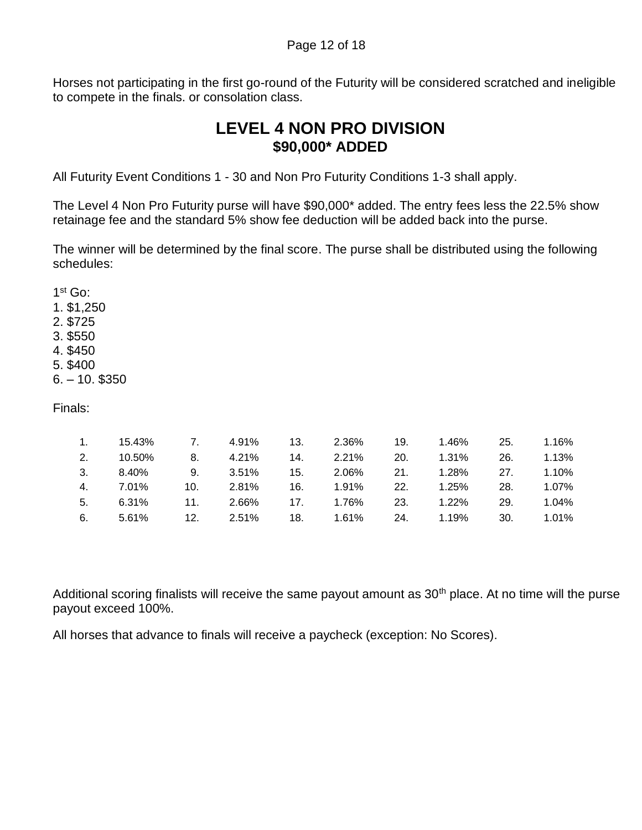Horses not participating in the first go-round of the Futurity will be considered scratched and ineligible to compete in the finals. or consolation class.

## **LEVEL 4 NON PRO DIVISION \$90,000\* ADDED**

All Futurity Event Conditions 1 - 30 and Non Pro Futurity Conditions 1-3 shall apply.

The Level 4 Non Pro Futurity purse will have \$90,000\* added. The entry fees less the 22.5% show retainage fee and the standard 5% show fee deduction will be added back into the purse.

The winner will be determined by the final score. The purse shall be distributed using the following schedules:

1 st Go: 1. \$1,250 2. \$725 3. \$550 4. \$450 5. \$400

6. – 10. \$350

Finals:

|    | 1. 15.43% |     | 7. 4.91% | 13. 2.36% |     | 19. 1.46% | 25. | 1.16% |
|----|-----------|-----|----------|-----------|-----|-----------|-----|-------|
| 2. | 10.50%    | 8.  | 4.21%    | 14. 2.21% | 20. | 1.31%     | 26. | 1.13% |
| 3. | 8.40%     | 9.  | 3.51%    | 15. 2.06% |     | 21. 1.28% | 27. | 1.10% |
| 4. | 7.01%     | 10. | 2.81%    |           | 22. | 1.25%     | 28. | 1.07% |
| 5. | 6.31%     | 11. | 2.66%    | 17. 1.76% | 23. | 1.22%     | 29. | 1.04% |
| 6. | 5.61%     | 12. | 2.51%    | 18. 1.61% |     | 24. 1.19% | 30. | 1.01% |

Additional scoring finalists will receive the same payout amount as  $30<sup>th</sup>$  place. At no time will the purse payout exceed 100%.

All horses that advance to finals will receive a paycheck (exception: No Scores).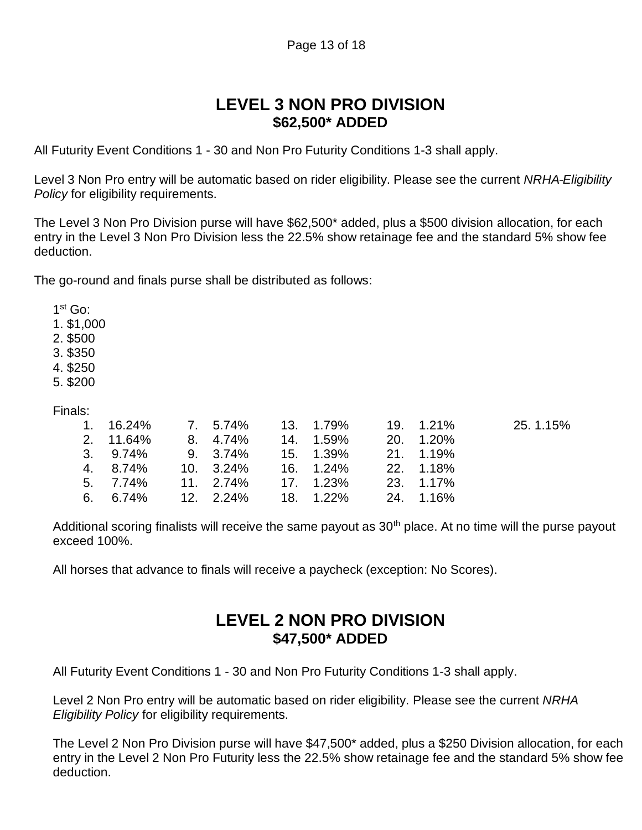### **LEVEL 3 NON PRO DIVISION \$62,500\* ADDED**

All Futurity Event Conditions 1 - 30 and Non Pro Futurity Conditions 1-3 shall apply.

Level 3 Non Pro entry will be automatic based on rider eligibility. Please see the current *NRHA Eligibility Policy* for eligibility requirements.

The Level 3 Non Pro Division purse will have \$62,500\* added, plus a \$500 division allocation, for each entry in the Level 3 Non Pro Division less the 22.5% show retainage fee and the standard 5% show fee deduction.

The go-round and finals purse shall be distributed as follows:

1 st Go:

- 1. \$1,000
- 2. \$500
- 3. \$350
- 4. \$250
- 5. \$200

Finals:

|                                        |  |  |  | $1.16.24\%$ 7. 5.74% 13. 1.79% 19. 1.21% 25.1.15% |
|----------------------------------------|--|--|--|---------------------------------------------------|
| 2. 11.64% 8. 4.74% 14. 1.59% 20. 1.20% |  |  |  |                                                   |
| 3. 9.74% 9. 3.74% 15. 1.39% 21. 1.19%  |  |  |  |                                                   |
| 4. 8.74% 10. 3.24% 16. 1.24% 22. 1.18% |  |  |  |                                                   |
| 5. 7.74% 11. 2.74% 17. 1.23% 23. 1.17% |  |  |  |                                                   |
| 6. 6.74% 12. 2.24% 18. 1.22% 24. 1.16% |  |  |  |                                                   |

Additional scoring finalists will receive the same payout as  $30<sup>th</sup>$  place. At no time will the purse payout exceed 100%.

All horses that advance to finals will receive a paycheck (exception: No Scores).

### **LEVEL 2 NON PRO DIVISION \$47,500\* ADDED**

All Futurity Event Conditions 1 - 30 and Non Pro Futurity Conditions 1-3 shall apply.

Level 2 Non Pro entry will be automatic based on rider eligibility. Please see the current *NRHA Eligibility Policy* for eligibility requirements.

The Level 2 Non Pro Division purse will have \$47,500\* added, plus a \$250 Division allocation, for each entry in the Level 2 Non Pro Futurity less the 22.5% show retainage fee and the standard 5% show fee deduction.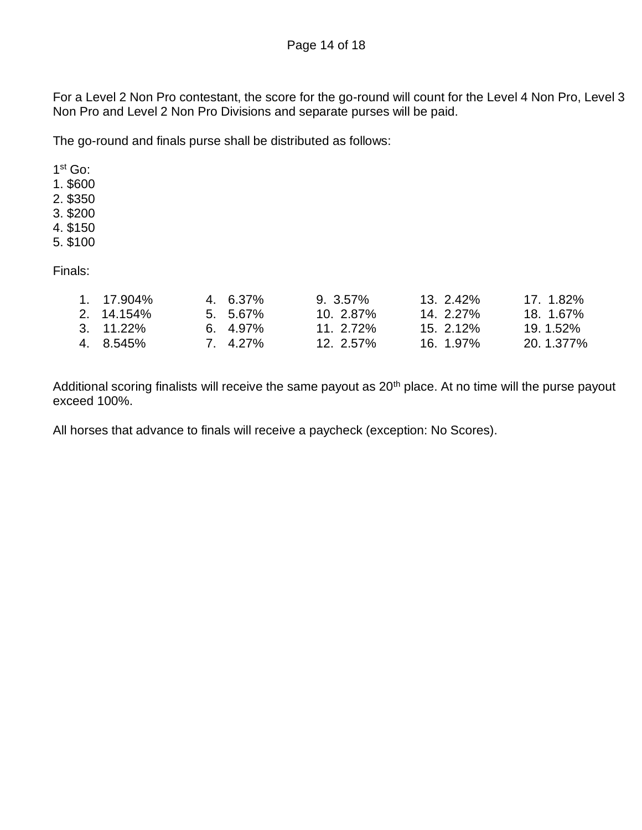Page 14 of 18

For a Level 2 Non Pro contestant, the score for the go-round will count for the Level 4 Non Pro, Level 3 Non Pro and Level 2 Non Pro Divisions and separate purses will be paid.

The go-round and finals purse shall be distributed as follows:

1 st Go:

1. \$600

2. \$350

- 3. \$200
- 4. \$150
- 5. \$100

Finals:

| 1. 17.904%   | 4. 6.37%   | $9.3.57\%$   | $13.2.42\%$ | 17. 1.82% |
|--------------|------------|--------------|-------------|-----------|
| $2.14.154\%$ | $5.5.67\%$ | $10.2.87\%$  | $14.227\%$  | 18. 1.67% |
| 3. 11.22%    | $6.4.97\%$ | 11. $2.72\%$ | 15. 2.12%   | 19.1.52%  |
| 4. 8.545%    | 7. 4.27%   | $12.2.57\%$  | 16. 1.97%   | 20.1.377% |

Additional scoring finalists will receive the same payout as 20<sup>th</sup> place. At no time will the purse payout exceed 100%.

All horses that advance to finals will receive a paycheck (exception: No Scores).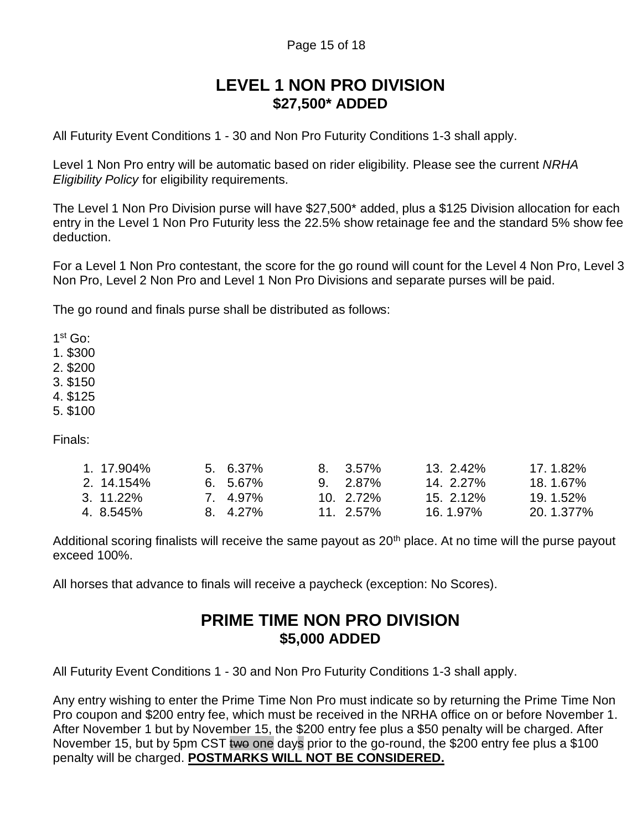## **LEVEL 1 NON PRO DIVISION \$27,500\* ADDED**

All Futurity Event Conditions 1 - 30 and Non Pro Futurity Conditions 1-3 shall apply.

Level 1 Non Pro entry will be automatic based on rider eligibility. Please see the current *NRHA Eligibility Policy* for eligibility requirements.

The Level 1 Non Pro Division purse will have \$27,500\* added, plus a \$125 Division allocation for each entry in the Level 1 Non Pro Futurity less the 22.5% show retainage fee and the standard 5% show fee deduction.

For a Level 1 Non Pro contestant, the score for the go round will count for the Level 4 Non Pro, Level 3 Non Pro, Level 2 Non Pro and Level 1 Non Pro Divisions and separate purses will be paid.

The go round and finals purse shall be distributed as follows:

1 st Go:

1. \$300

2. \$200

3. \$150

4. \$125

5. \$100

Finals:

| 1.17.904%  | $5.6.37\%$ | $8.3.57\%$  | $13.242\%$  | 17.1.82%  |
|------------|------------|-------------|-------------|-----------|
| 2. 14.154% | $6.5.67\%$ | $9.2.87\%$  | $14.227\%$  | 18.1.67%  |
| 3. 11.22%  | 7 4.97%    | $10.272\%$  | $15.2.12\%$ | 19.1.52%  |
| 4. 8.545%  | 8. 4.27%   | $11.2.57\%$ | 16, 1.97%   | 20.1.377% |

Additional scoring finalists will receive the same payout as 20<sup>th</sup> place. At no time will the purse payout exceed 100%.

All horses that advance to finals will receive a paycheck (exception: No Scores).

### **PRIME TIME NON PRO DIVISION \$5,000 ADDED**

All Futurity Event Conditions 1 - 30 and Non Pro Futurity Conditions 1-3 shall apply.

Any entry wishing to enter the Prime Time Non Pro must indicate so by returning the Prime Time Non Pro coupon and \$200 entry fee, which must be received in the NRHA office on or before November 1. After November 1 but by November 15, the \$200 entry fee plus a \$50 penalty will be charged. After November 15, but by 5pm CST two one days prior to the go-round, the \$200 entry fee plus a \$100 penalty will be charged. **POSTMARKS WILL NOT BE CONSIDERED.**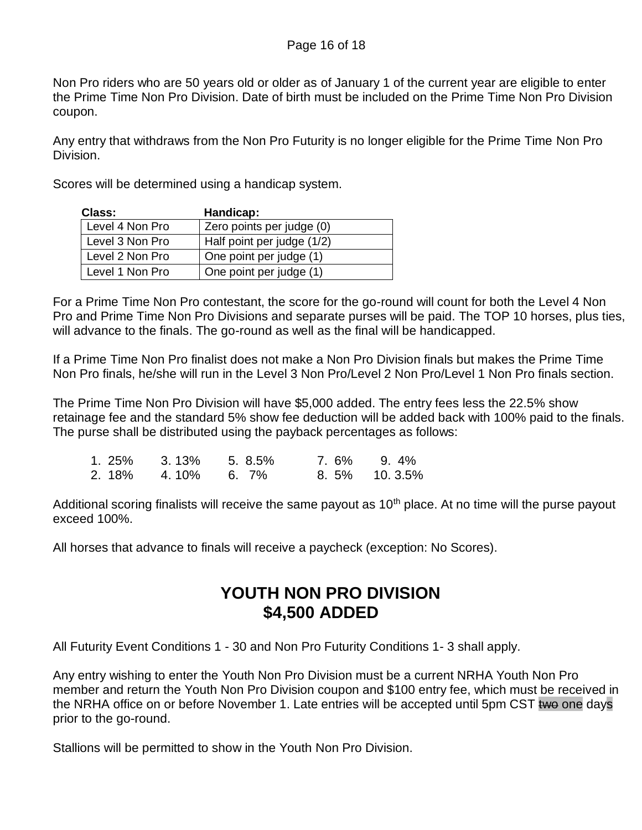Non Pro riders who are 50 years old or older as of January 1 of the current year are eligible to enter the Prime Time Non Pro Division. Date of birth must be included on the Prime Time Non Pro Division coupon.

Any entry that withdraws from the Non Pro Futurity is no longer eligible for the Prime Time Non Pro Division.

Scores will be determined using a handicap system.

| Class:          | Handicap:                  |
|-----------------|----------------------------|
| Level 4 Non Pro | Zero points per judge (0)  |
| Level 3 Non Pro | Half point per judge (1/2) |
| Level 2 Non Pro | One point per judge (1)    |
| Level 1 Non Pro | One point per judge (1)    |

For a Prime Time Non Pro contestant, the score for the go-round will count for both the Level 4 Non Pro and Prime Time Non Pro Divisions and separate purses will be paid. The TOP 10 horses, plus ties, will advance to the finals. The go-round as well as the final will be handicapped.

If a Prime Time Non Pro finalist does not make a Non Pro Division finals but makes the Prime Time Non Pro finals, he/she will run in the Level 3 Non Pro/Level 2 Non Pro/Level 1 Non Pro finals section.

The Prime Time Non Pro Division will have \$5,000 added. The entry fees less the 22.5% show retainage fee and the standard 5% show fee deduction will be added back with 100% paid to the finals. The purse shall be distributed using the payback percentages as follows:

| 1.25%  | 3. 13%     | 5.8.5% | 7.6% 9.4%    |
|--------|------------|--------|--------------|
| 2. 18% | 4.10% 6.7% |        | 8.5% 10.3.5% |

Additional scoring finalists will receive the same payout as  $10<sup>th</sup>$  place. At no time will the purse payout exceed 100%.

All horses that advance to finals will receive a paycheck (exception: No Scores).

# **YOUTH NON PRO DIVISION \$4,500 ADDED**

All Futurity Event Conditions 1 - 30 and Non Pro Futurity Conditions 1- 3 shall apply.

Any entry wishing to enter the Youth Non Pro Division must be a current NRHA Youth Non Pro member and return the Youth Non Pro Division coupon and \$100 entry fee, which must be received in the NRHA office on or before November 1. Late entries will be accepted until 5pm CST two one days prior to the go-round.

Stallions will be permitted to show in the Youth Non Pro Division.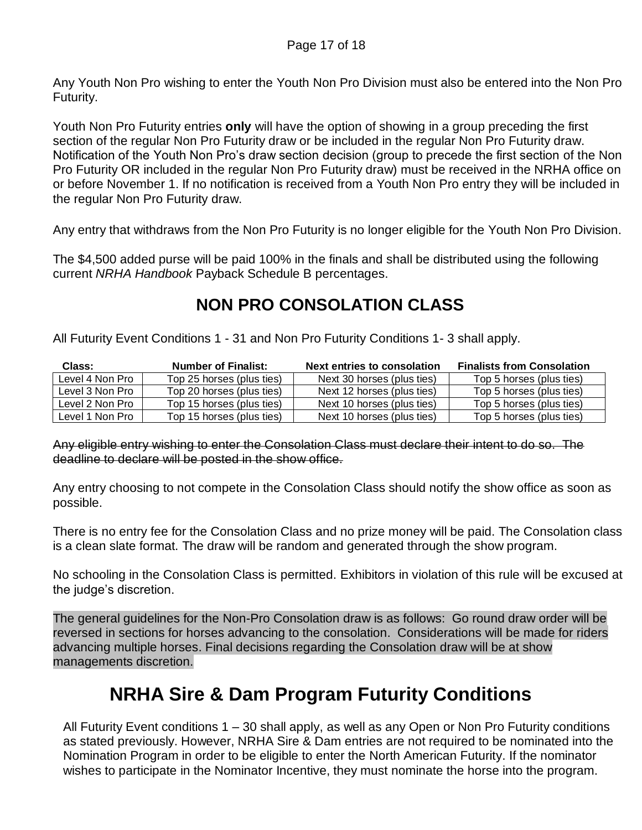Any Youth Non Pro wishing to enter the Youth Non Pro Division must also be entered into the Non Pro Futurity.

Youth Non Pro Futurity entries **only** will have the option of showing in a group preceding the first section of the regular Non Pro Futurity draw or be included in the regular Non Pro Futurity draw. Notification of the Youth Non Pro's draw section decision (group to precede the first section of the Non Pro Futurity OR included in the regular Non Pro Futurity draw) must be received in the NRHA office on or before November 1. If no notification is received from a Youth Non Pro entry they will be included in the regular Non Pro Futurity draw.

Any entry that withdraws from the Non Pro Futurity is no longer eligible for the Youth Non Pro Division.

The \$4,500 added purse will be paid 100% in the finals and shall be distributed using the following current *NRHA Handbook* Payback Schedule B percentages.

# **NON PRO CONSOLATION CLASS**

All Futurity Event Conditions 1 - 31 and Non Pro Futurity Conditions 1- 3 shall apply.

| Class:          | <b>Number of Finalist:</b> | <b>Next entries to consolation</b> | <b>Finalists from Consolation</b> |
|-----------------|----------------------------|------------------------------------|-----------------------------------|
| Level 4 Non Pro | Top 25 horses (plus ties)  | Next 30 horses (plus ties)         | Top 5 horses (plus ties)          |
| Level 3 Non Pro | Top 20 horses (plus ties)  | Next 12 horses (plus ties)         | Top 5 horses (plus ties)          |
| Level 2 Non Pro | Top 15 horses (plus ties)  | Next 10 horses (plus ties)         | Top 5 horses (plus ties)          |
| Level 1 Non Pro | Top 15 horses (plus ties)  | Next 10 horses (plus ties)         | Top 5 horses (plus ties)          |

Any eligible entry wishing to enter the Consolation Class must declare their intent to do so. The deadline to declare will be posted in the show office.

Any entry choosing to not compete in the Consolation Class should notify the show office as soon as possible.

There is no entry fee for the Consolation Class and no prize money will be paid. The Consolation class is a clean slate format. The draw will be random and generated through the show program.

No schooling in the Consolation Class is permitted. Exhibitors in violation of this rule will be excused at the judge's discretion.

The general guidelines for the Non-Pro Consolation draw is as follows: Go round draw order will be reversed in sections for horses advancing to the consolation. Considerations will be made for riders advancing multiple horses. Final decisions regarding the Consolation draw will be at show managements discretion.

# **NRHA Sire & Dam Program Futurity Conditions**

All Futurity Event conditions 1 – 30 shall apply, as well as any Open or Non Pro Futurity conditions as stated previously. However, NRHA Sire & Dam entries are not required to be nominated into the Nomination Program in order to be eligible to enter the North American Futurity. If the nominator wishes to participate in the Nominator Incentive, they must nominate the horse into the program.